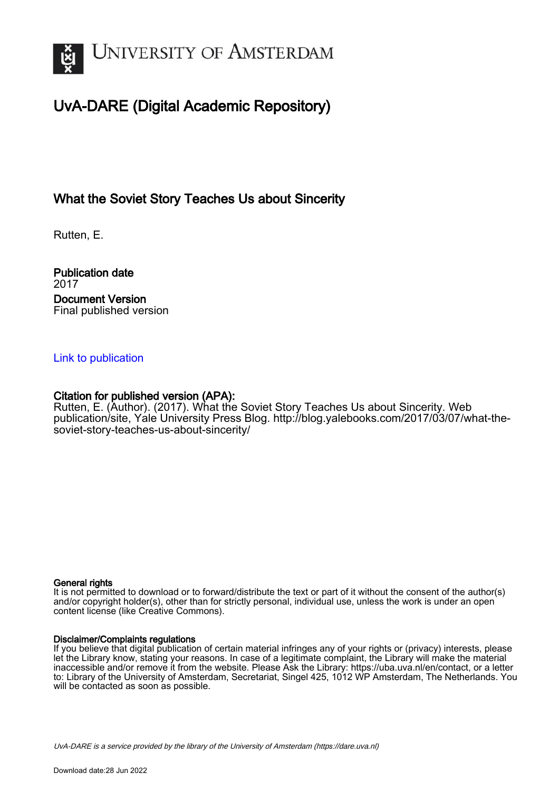

## UvA-DARE (Digital Academic Repository)

### What the Soviet Story Teaches Us about Sincerity

Rutten, E.

Publication date 2017 Document Version Final published version

#### [Link to publication](https://dare.uva.nl/personal/pure/en/publications/what-the-soviet-story-teaches-us-about-sincerity(c317e40a-cdfd-4b8e-92cb-05b8d4f203ab).html)

#### Citation for published version (APA):

Rutten, E. (Author). (2017). What the Soviet Story Teaches Us about Sincerity. Web publication/site, Yale University Press Blog. [http://blog.yalebooks.com/2017/03/07/what-the](http://blog.yalebooks.com/2017/03/07/what-the-soviet-story-teaches-us-about-sincerity/)[soviet-story-teaches-us-about-sincerity/](http://blog.yalebooks.com/2017/03/07/what-the-soviet-story-teaches-us-about-sincerity/)

#### General rights

It is not permitted to download or to forward/distribute the text or part of it without the consent of the author(s) and/or copyright holder(s), other than for strictly personal, individual use, unless the work is under an open content license (like Creative Commons).

#### Disclaimer/Complaints regulations

If you believe that digital publication of certain material infringes any of your rights or (privacy) interests, please let the Library know, stating your reasons. In case of a legitimate complaint, the Library will make the material inaccessible and/or remove it from the website. Please Ask the Library: https://uba.uva.nl/en/contact, or a letter to: Library of the University of Amsterdam, Secretariat, Singel 425, 1012 WP Amsterdam, The Netherlands. You will be contacted as soon as possible.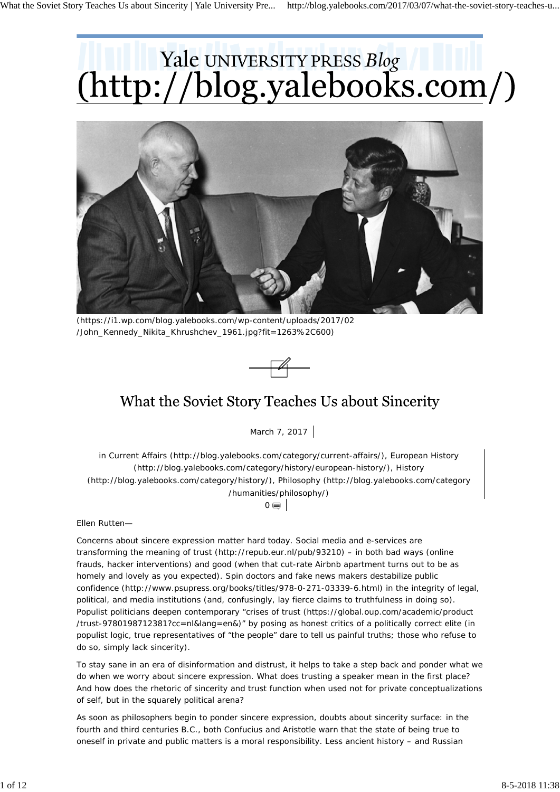# Yale UNIVERSITY PRESS Blog<br>(http://blog.yalebooks.com/)



(https://i1.wp.com/blog.yalebooks.com/wp-content/uploads/2017/02 /John\_Kennedy\_Nikita\_Khrushchev\_1961.jpg?fit=1263%2C600)



## What the Soviet Story Teaches Us about Sincerity

March 7, 2017

in Current Affairs (http://blog.yalebooks.com/category/current-affairs/), European History (http://blog.yalebooks.com/category/history/european-history/), History (http://blog.yalebooks.com/category/history/), Philosophy (http://blog.yalebooks.com/category /humanities/philosophy/)  $0 \equiv 1$ 

*Ellen Rutten—*

Concerns about sincere expression matter hard today. Social media and e-services are transforming the meaning of trust (http://repub.eur.nl/pub/93210) – in both bad ways (online frauds, hacker interventions) and good (when that cut-rate Airbnb apartment turns out to be as homely and lovely as you expected). Spin doctors and fake news makers destabilize public confidence (http://www.psupress.org/books/titles/978-0-271-03339-6.html) in the integrity of legal, political, and media institutions (and, confusingly, lay fierce claims to truthfulness in doing so). Populist politicians deepen contemporary "crises of trust (https://global.oup.com/academic/product /trust-9780198712381?cc=nl&lang=en&)" by posing as honest critics of a politically correct elite (in populist logic, true representatives of "the people" dare to tell us painful truths; those who refuse to do so, simply lack sincerity).

To stay sane in an era of disinformation and distrust, it helps to take a step back and ponder what we do when we worry about sincere expression. What does trusting a speaker mean in the first place? And how does the rhetoric of sincerity and trust function when used not for private conceptualizations of self, but in the squarely political arena?

As soon as philosophers begin to ponder sincere expression, doubts *about* sincerity surface: in the fourth and third centuries B.C., both Confucius and Aristotle warn that the state of being true to oneself in private and public matters is a moral responsibility. Less ancient history – and Russian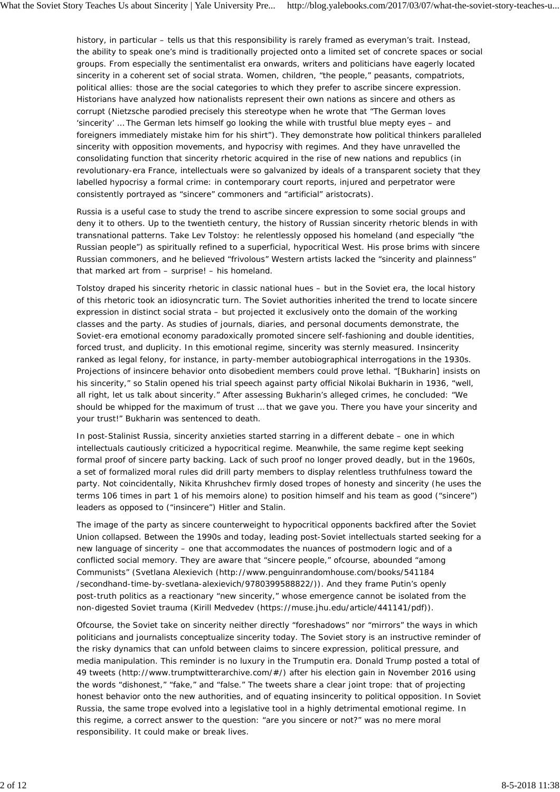history, in particular – tells us that this responsibility is rarely framed as everyman's trait. Instead, the ability to speak one's mind is traditionally projected onto a limited set of concrete spaces or social groups. From especially the sentimentalist era onwards, writers and politicians have eagerly located sincerity in a coherent set of social strata. Women, children, "the people," peasants, compatriots, political allies: those are the social categories to which they prefer to ascribe sincere expression. Historians have analyzed how nationalists represent their own nations as sincere and others as corrupt (Nietzsche parodied precisely this stereotype when he wrote that "The German loves 'sincerity' … The German lets himself go looking the while with trustful blue mepty eyes – and foreigners immediately mistake him for his shirt"). They demonstrate how political thinkers paralleled sincerity with opposition movements, and hypocrisy with regimes. And they have unravelled the consolidating function that sincerity rhetoric acquired in the rise of new nations and republics (in revolutionary-era France, intellectuals were so galvanized by ideals of a transparent society that they labelled hypocrisy a formal crime: in contemporary court reports, injured and perpetrator were consistently portrayed as "sincere" commoners and "artificial" aristocrats).

Russia is a useful case to study the trend to ascribe sincere expression to some social groups and deny it to others. Up to the twentieth century, the history of Russian sincerity rhetoric blends in with transnational patterns. Take Lev Tolstoy: he relentlessly opposed his homeland (and especially "the Russian people") as spiritually refined to a superficial, hypocritical West. His prose brims with sincere Russian commoners, and he believed "frivolous" Western artists lacked the "sincerity and plainness" that marked art from – surprise! – his homeland.

Tolstoy draped his sincerity rhetoric in classic national hues – but in the Soviet era, the local history of this rhetoric took an idiosyncratic turn. The Soviet authorities inherited the trend to locate sincere expression in distinct social strata – but projected it exclusively onto the domain of the working classes and the party. As studies of journals, diaries, and personal documents demonstrate, the Soviet-era emotional economy paradoxically promoted sincere self-fashioning *and* double identities, forced trust, and duplicity. In this emotional regime, sincerity was sternly measured. Insincerity ranked as legal felony, for instance, in party-member autobiographical interrogations in the 1930s. Projections of insincere behavior onto disobedient members could prove lethal. "[Bukharin] insists on his sincerity," so Stalin opened his trial speech against party official Nikolai Bukharin in 1936, "well, all right, let us talk about sincerity." After assessing Bukharin's alleged crimes, he concluded: "We should be whipped for the maximum of trust … that we gave you. There you have your sincerity and your trust!" Bukharin was sentenced to death.

In post-Stalinist Russia, sincerity anxieties started starring in a different debate – one in which intellectuals cautiously criticized a hypocritical regime. Meanwhile, the same regime kept seeking formal proof of sincere party backing. Lack of such proof no longer proved deadly, but in the 1960s, a set of formalized moral rules did drill party members to display relentless truthfulness toward the party. Not coincidentally, Nikita Khrushchev firmly dosed tropes of honesty and sincerity (he uses the terms 106 times in part 1 of his memoirs alone) to position himself and his team as good ("sincere") leaders as opposed to ("insincere") Hitler and Stalin.

The image of the party as sincere counterweight to hypocritical opponents backfired after the Soviet Union collapsed. Between the 1990s and today, leading post-Soviet intellectuals started seeking for a new language of sincerity – one that accommodates the nuances of postmodern logic and of a conflicted social memory. They are aware that "sincere people," ofcourse, abounded "among Communists" (Svetlana Alexievich (http://www.penguinrandomhouse.com/books/541184 /secondhand-time-by-svetlana-alexievich/9780399588822/)). And they frame Putin's openly post-truth politics as a reactionary "new sincerity," whose emergence cannot be isolated from the non-digested Soviet trauma (Kirill Medvedev (https://muse.jhu.edu/article/441141/pdf)).

Ofcourse, the Soviet take on sincerity neither directly "foreshadows" nor "mirrors" the ways in which politicians and journalists conceptualize sincerity today. The Soviet story *is* an instructive reminder of the risky dynamics that can unfold between claims to sincere expression, political pressure, and media manipulation. This reminder is no luxury in the Trumputin era. Donald Trump posted a total of 49 tweets (http://www.trumptwitterarchive.com/#/) after his election gain in November 2016 using the words "dishonest," "fake," and "false." The tweets share a clear joint trope: that of projecting honest behavior onto the new authorities, and of equating insincerity to political opposition. In Soviet Russia, the same trope evolved into a legislative tool in a highly detrimental emotional regime. In this regime, a correct answer to the question: "are you sincere or not?" was no mere moral responsibility. It could make or break lives.